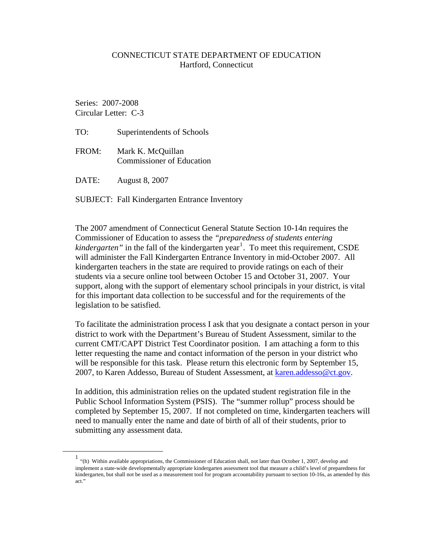## CONNECTICUT STATE DEPARTMENT OF EDUCATION Hartford, Connecticut

 Series: 2007-2008 Circular Letter: C-3

- TO: Superintendents of Schools
- FROM: Mark K. McQuillan Commissioner of Education
- DATE: August 8, 2007

## SUBJECT: Fall Kindergarten Entrance Inventory

The 2007 amendment of Connecticut General Statute Section 10-14n requires the Commissioner of Education to assess the *"preparedness of students entering*  kindergarten" in the fall of the kindergarten year<sup>[1](#page-0-0)</sup>. To meet this requirement, CSDE will administer the Fall Kindergarten Entrance Inventory in mid-October 2007. All kindergarten teachers in the state are required to provide ratings on each of their students via a secure online tool between October 15 and October 31, 2007. Your support, along with the support of elementary school principals in your district, is vital for this important data collection to be successful and for the requirements of the legislation to be satisfied.

To facilitate the administration process I ask that you designate a contact person in your district to work with the Department's Bureau of Student Assessment, similar to the current CMT/CAPT District Test Coordinator position. I am attaching a form to this letter requesting the name and contact information of the person in your district who will be responsible for this task. Please return this electronic form by September 15, 2007, to Karen Addesso, Bureau of Student Assessment, at [karen.addesso@ct.gov.](mailto:karen.addesso@ct.gov)

In addition, this administration relies on the updated student registration file in the Public School Information System (PSIS). The "summer rollup" process should be completed by September 15, 2007. If not completed on time, kindergarten teachers will need to manually enter the name and date of birth of all of their students, prior to submitting any assessment data.

<span id="page-0-0"></span> <sup>1</sup> "(h) Within available appropriations, the Commissioner of Education shall, not later than October 1, 2007, develop and implement a state-wide developmentally appropriate kindergarten assessment tool that measure a child's level of preparedness for kindergarten, but shall not be used as a measurement tool for program accountability pursuant to section 10-16s, as amended by this act."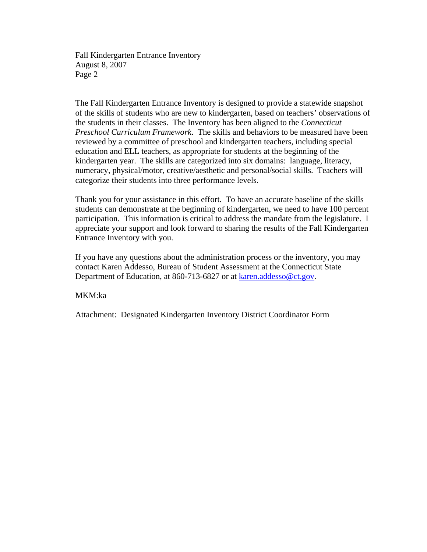Fall Kindergarten Entrance Inventory August 8, 2007 Page 2

The Fall Kindergarten Entrance Inventory is designed to provide a statewide snapshot of the skills of students who are new to kindergarten, based on teachers' observations of the students in their classes. The Inventory has been aligned to the *Connecticut Preschool Curriculum Framework*. The skills and behaviors to be measured have been reviewed by a committee of preschool and kindergarten teachers, including special education and ELL teachers, as appropriate for students at the beginning of the kindergarten year. The skills are categorized into six domains: language, literacy, numeracy, physical/motor, creative/aesthetic and personal/social skills. Teachers will categorize their students into three performance levels.

Thank you for your assistance in this effort. To have an accurate baseline of the skills students can demonstrate at the beginning of kindergarten, we need to have 100 percent participation. This information is critical to address the mandate from the legislature. I appreciate your support and look forward to sharing the results of the Fall Kindergarten Entrance Inventory with you.

If you have any questions about the administration process or the inventory, you may contact Karen Addesso, Bureau of Student Assessment at the Connecticut State Department of Education, at 860-713-6827 or at [karen.addesso@ct.gov.](mailto:karen.addesso@ct.gov)

MKM:ka

Attachment: Designated Kindergarten Inventory District Coordinator Form